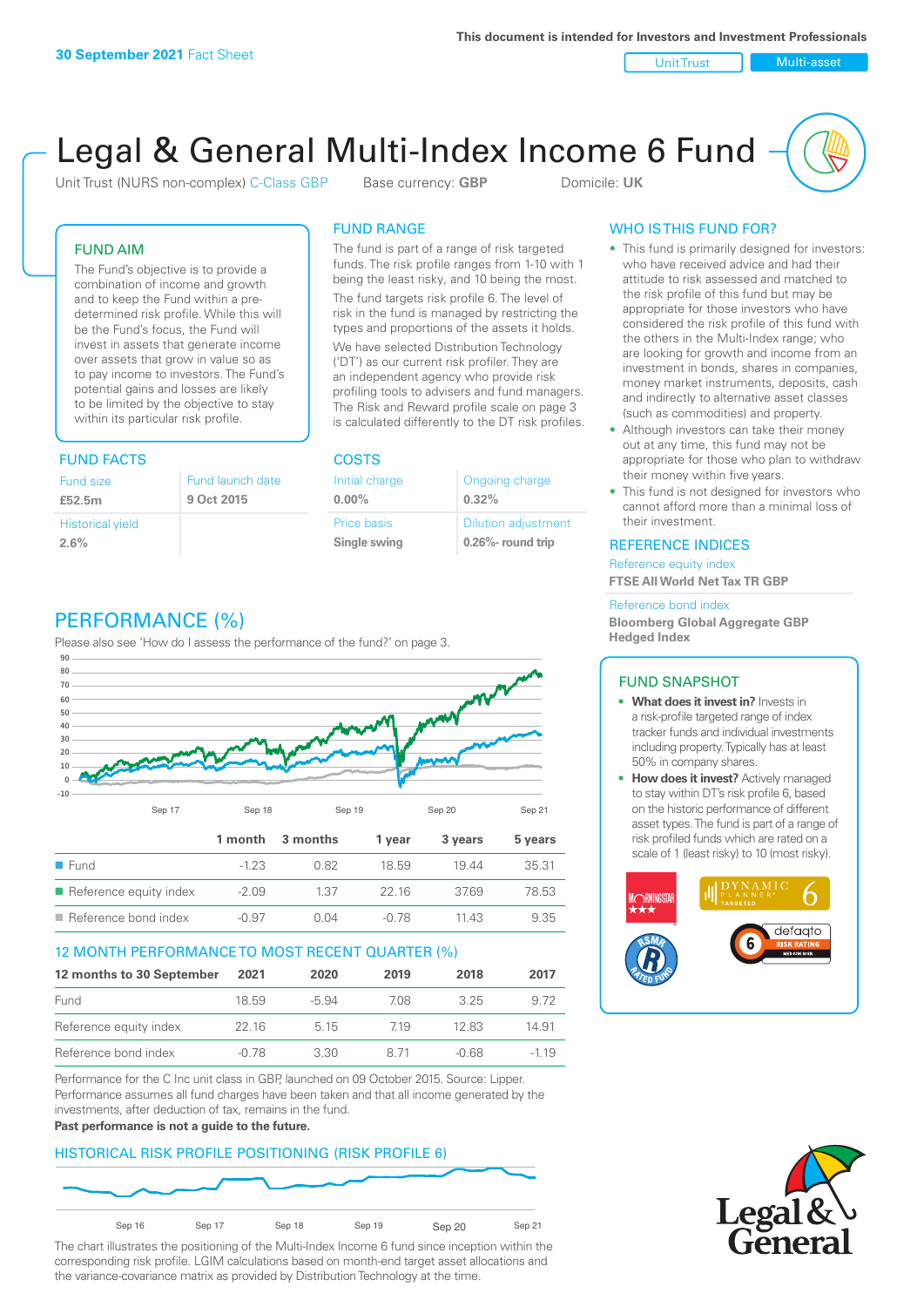Unit Trust Nulti-asset

# Legal & General Multi-Index Income 6 Fund

Unit Trust (NURS non-complex) C-Class GBP Base currency: **GBP** Domicile: UK

### FUND AIM

The Fund's objective is to provide a combination of income and growth and to keep the Fund within a predetermined risk profile. While this will be the Fund's focus, the Fund will invest in assets that generate income over assets that grow in value so as to pay income to investors. The Fund's potential gains and losses are likely to be limited by the objective to stay within its particular risk profile.

### FUND FACTS COSTS

| Fund size               | Fund launch date |
|-------------------------|------------------|
| £52.5m                  | 9 Oct 2015       |
| <b>Historical yield</b> |                  |
| 2.6%                    |                  |

### FUND RANGE

The fund is part of a range of risk targeted funds. The risk profile ranges from 1-10 with 1 being the least risky, and 10 being the most.

The fund targets risk profile 6. The level of risk in the fund is managed by restricting the types and proportions of the assets it holds. We have selected Distribution Technology ('DT') as our current risk profiler. They are an independent agency who provide risk profiling tools to advisers and fund managers. The Risk and Reward profile scale on page 3 is calculated differently to the DT risk profiles.

| Initial charge | Ongoing charge             |
|----------------|----------------------------|
| $0.00\%$       | 0.32%                      |
| Price basis    | <b>Dilution adjustment</b> |
| Single swing   | 0.26%- round trip          |

## PERFORMANCE (%)

Please also see 'How do I assess the performance of the fund?' on page 3.



### 12 MONTH PERFORMANCE TO MOST RECENT QUARTER (%)

| 12 months to 30 September | 2021  | 2020    | 2019 | 2018  | 2017   |
|---------------------------|-------|---------|------|-------|--------|
| Fund                      | 18.59 | $-5.94$ | 708  | 325   | 9.72   |
| Reference equity index    | 22 16 | 515     | 719  | 12.83 | 14.91  |
| Reference bond index      | -0.78 | 3.30    | 8 71 | -0.68 | $-119$ |

Performance for the C Inc unit class in GBP, launched on 09 October 2015. Source: Lipper. Performance assumes all fund charges have been taken and that all income generated by the investments, after deduction of tax, remains in the fund.

#### **Past performance is not a guide to the future.**

### HISTORICAL RISK PROFILE POSITIONING (RISK PROFILE 6)



The chart illustrates the positioning of the Multi-Index Income 6 fund since inception within the corresponding risk profile. LGIM calculations based on month-end target asset allocations and the variance-covariance matrix as provided by Distribution Technology at the time.

### WHO IS THIS FUND FOR?

- This fund is primarily designed for investors: who have received advice and had their attitude to risk assessed and matched to the risk profile of this fund but may be appropriate for those investors who have considered the risk profile of this fund with the others in the Multi-Index range; who are looking for growth and income from an investment in bonds, shares in companies, money market instruments, deposits, cash and indirectly to alternative asset classes (such as commodities) and property.
- Although investors can take their money out at any time, this fund may not be appropriate for those who plan to withdraw their money within five years.
- This fund is not designed for investors who cannot afford more than a minimal loss of their investment.

### REFERENCE INDICES

Reference equity index **FTSE All World Net Tax TR GBP**

#### Reference bond index

**Bloomberg Global Aggregate GBP Hedged Index**

#### FUND SNAPSHOT

- **• What does it invest in?** Invests in a risk-profile targeted range of index tracker funds and individual investments including property. Typically has at least 50% in company shares.
- **• How does it invest?** Actively managed to stay within DT's risk profile 6, based on the historic performance of different asset types. The fund is part of a range of risk profiled funds which are rated on a scale of 1 (least risky) to 10 (most risky).



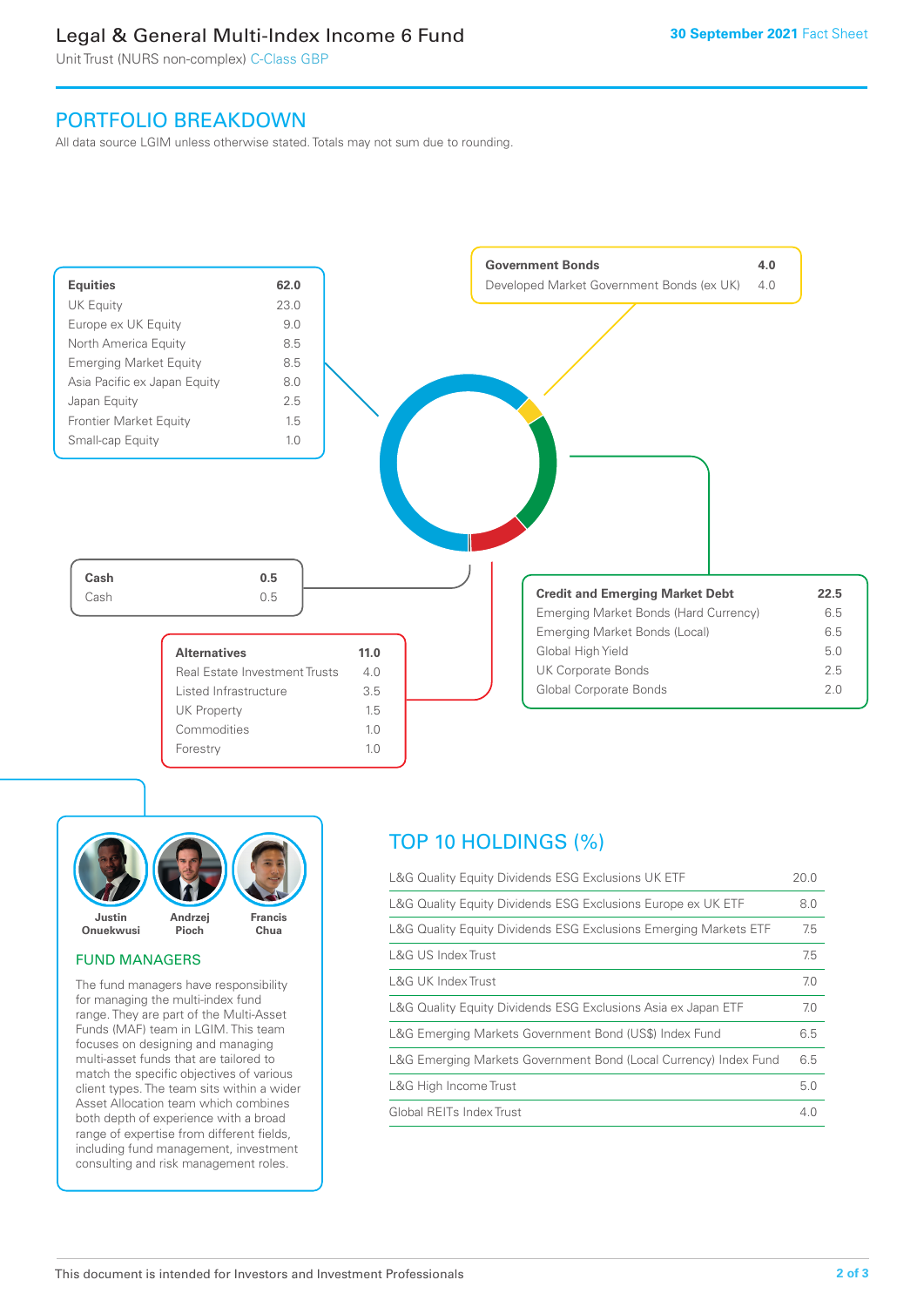### Legal & General Multi-Index Income 6 Fund

Unit Trust (NURS non-complex) C-Class GBP

### PORTFOLIO BREAKDOWN

All data source LGIM unless otherwise stated. Totals may not sum due to rounding.





### FUND MANAGERS

The fund managers have responsibility for managing the multi-index fund range. They are part of the Multi-Asset Funds (MAF) team in LGIM. This team focuses on designing and managing multi-asset funds that are tailored to match the specific objectives of various client types. The team sits within a wider Asset Allocation team which combines both depth of experience with a broad range of expertise from different fields, including fund management, investment consulting and risk management roles.

### TOP 10 HOLDINGS (%)

| L&G Quality Equity Dividends ESG Exclusions UK ETF               | 20.0 |
|------------------------------------------------------------------|------|
| L&G Quality Equity Dividends ESG Exclusions Europe ex UK ETF     | 8.0  |
| L&G Quality Equity Dividends ESG Exclusions Emerging Markets ETF | 7.5  |
| L&G US Index Trust                                               | 7.5  |
| L&G UK Index Trust                                               | 7.0  |
| L&G Quality Equity Dividends ESG Exclusions Asia ex Japan ETF    | 7.0  |
| L&G Emerging Markets Government Bond (US\$) Index Fund           | 6.5  |
| L&G Emerging Markets Government Bond (Local Currency) Index Fund | 6.5  |
| L&G High Income Trust                                            | 5.0  |
| Global REITs Index Trust                                         | 4.0  |